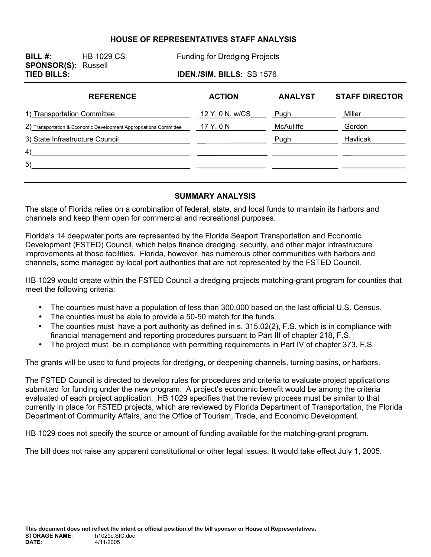#### **HOUSE OF REPRESENTATIVES STAFF ANALYSIS**

**BILL #:** HB 1029 CS Funding for Dredging Projects **SPONSOR(S):** Russell **TIED BILLS: IDEN./SIM. BILLS:** SB 1576

| <b>REFERENCE</b>                                                  | <b>ACTION</b>   | <b>ANALYST</b> | <b>STAFF DIRECTOR</b> |
|-------------------------------------------------------------------|-----------------|----------------|-----------------------|
| 1) Transportation Committee                                       | 12 Y, 0 N, w/CS | Pugh           | Miller                |
| 2) Transportation & Economic Development Appropriations Committee | 17 Y, 0 N       | McAuliffe      | Gordon                |
| 3) State Infrastructure Council                                   |                 | Pugh           | Havlicak              |
| 4)                                                                |                 |                |                       |
| 5)                                                                |                 |                |                       |
|                                                                   |                 |                |                       |

#### **SUMMARY ANALYSIS**

The state of Florida relies on a combination of federal, state, and local funds to maintain its harbors and channels and keep them open for commercial and recreational purposes.

Florida's 14 deepwater ports are represented by the Florida Seaport Transportation and Economic Development (FSTED) Council, which helps finance dredging, security, and other major infrastructure improvements at those facilities. Florida, however, has numerous other communities with harbors and channels, some managed by local port authorities that are not represented by the FSTED Council.

HB 1029 would create within the FSTED Council a dredging projects matching-grant program for counties that meet the following criteria:

- The counties must have a population of less than 300,000 based on the last official U.S. Census.
- The counties must be able to provide a 50-50 match for the funds.
- The counties must have a port authority as defined in s. 315.02(2), F.S. which is in compliance with financial management and reporting procedures pursuant to Part III of chapter 218, F.S.
- The project must be in compliance with permitting requirements in Part IV of chapter 373, F.S.

The grants will be used to fund projects for dredging, or deepening channels, turning basins, or harbors.

The FSTED Council is directed to develop rules for procedures and criteria to evaluate project applications submitted for funding under the new program. A project's economic benefit would be among the criteria evaluated of each project application. HB 1029 specifies that the review process must be similar to that currently in place for FSTED projects, which are reviewed by Florida Department of Transportation, the Florida Department of Community Affairs, and the Office of Tourism, Trade, and Economic Development.

HB 1029 does not specify the source or amount of funding available for the matching-grant program.

The bill does not raise any apparent constitutional or other legal issues. It would take effect July 1, 2005.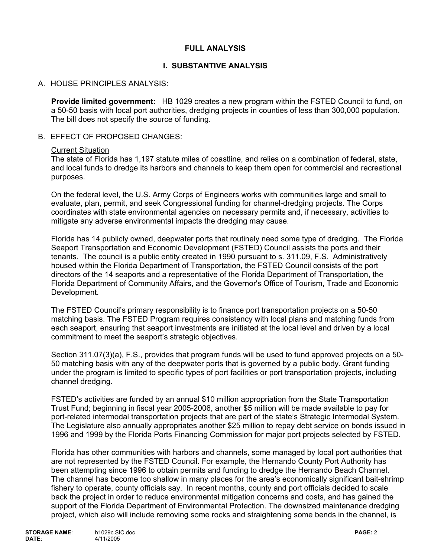### **FULL ANALYSIS**

# **I. SUBSTANTIVE ANALYSIS**

# A. HOUSE PRINCIPLES ANALYSIS:

**Provide limited government:** HB 1029 creates a new program within the FSTED Council to fund, on a 50-50 basis with local port authorities, dredging projects in counties of less than 300,000 population. The bill does not specify the source of funding.

#### B. EFFECT OF PROPOSED CHANGES:

#### Current Situation

The state of Florida has 1,197 statute miles of coastline, and relies on a combination of federal, state, and local funds to dredge its harbors and channels to keep them open for commercial and recreational purposes.

On the federal level, the U.S. Army Corps of Engineers works with communities large and small to evaluate, plan, permit, and seek Congressional funding for channel-dredging projects. The Corps coordinates with state environmental agencies on necessary permits and, if necessary, activities to mitigate any adverse environmental impacts the dredging may cause.

Florida has 14 publicly owned, deepwater ports that routinely need some type of dredging. The Florida Seaport Transportation and Economic Development (FSTED) Council assists the ports and their tenants. The council is a public entity created in 1990 pursuant to s. 311.09, F.S. Administratively housed within the Florida Department of Transportation, the FSTED Council consists of the port directors of the 14 seaports and a representative of the Florida Department of Transportation, the Florida Department of Community Affairs, and the Governor's Office of Tourism, Trade and Economic Development.

The FSTED Council's primary responsibility is to finance port transportation projects on a 50-50 matching basis. The FSTED Program requires consistency with local plans and matching funds from each seaport, ensuring that seaport investments are initiated at the local level and driven by a local commitment to meet the seaport's strategic objectives.

Section 311.07(3)(a), F.S., provides that program funds will be used to fund approved projects on a 50- 50 matching basis with any of the deepwater ports that is governed by a public body. Grant funding under the program is limited to specific types of port facilities or port transportation projects, including channel dredging.

FSTED's activities are funded by an annual \$10 million appropriation from the State Transportation Trust Fund; beginning in fiscal year 2005-2006, another \$5 million will be made available to pay for port-related intermodal transportation projects that are part of the state's Strategic Intermodal System. The Legislature also annually appropriates another \$25 million to repay debt service on bonds issued in 1996 and 1999 by the Florida Ports Financing Commission for major port projects selected by FSTED.

Florida has other communities with harbors and channels, some managed by local port authorities that are not represented by the FSTED Council. For example, the Hernando County Port Authority has been attempting since 1996 to obtain permits and funding to dredge the Hernando Beach Channel. The channel has become too shallow in many places for the area's economically significant bait-shrimp fishery to operate, county officials say. In recent months, county and port officials decided to scale back the project in order to reduce environmental mitigation concerns and costs, and has gained the support of the Florida Department of Environmental Protection. The downsized maintenance dredging project, which also will include removing some rocks and straightening some bends in the channel, is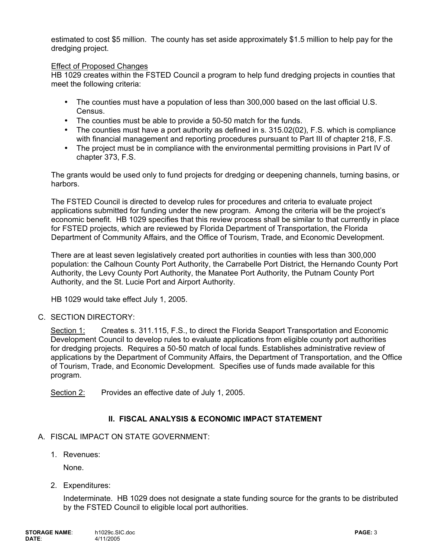estimated to cost \$5 million. The county has set aside approximately \$1.5 million to help pay for the dredging project.

#### Effect of Proposed Changes

HB 1029 creates within the FSTED Council a program to help fund dredging projects in counties that meet the following criteria:

- The counties must have a population of less than 300,000 based on the last official U.S. Census.
- The counties must be able to provide a 50-50 match for the funds.
- The counties must have a port authority as defined in s. 315.02(02), F.S. which is compliance with financial management and reporting procedures pursuant to Part III of chapter 218, F.S.
- The project must be in compliance with the environmental permitting provisions in Part IV of chapter 373, F.S.

The grants would be used only to fund projects for dredging or deepening channels, turning basins, or harbors.

The FSTED Council is directed to develop rules for procedures and criteria to evaluate project applications submitted for funding under the new program. Among the criteria will be the project's economic benefit. HB 1029 specifies that this review process shall be similar to that currently in place for FSTED projects, which are reviewed by Florida Department of Transportation, the Florida Department of Community Affairs, and the Office of Tourism, Trade, and Economic Development.

There are at least seven legislatively created port authorities in counties with less than 300,000 population: the Calhoun County Port Authority, the Carrabelle Port District, the Hernando County Port Authority, the Levy County Port Authority, the Manatee Port Authority, the Putnam County Port Authority, and the St. Lucie Port and Airport Authority.

HB 1029 would take effect July 1, 2005.

### C. SECTION DIRECTORY:

Section 1: Creates s. 311.115, F.S., to direct the Florida Seaport Transportation and Economic Development Council to develop rules to evaluate applications from eligible county port authorities for dredging projects. Requires a 50-50 match of local funds. Establishes administrative review of applications by the Department of Community Affairs, the Department of Transportation, and the Office of Tourism, Trade, and Economic Development. Specifies use of funds made available for this program.

Section 2: Provides an effective date of July 1, 2005.

# **II. FISCAL ANALYSIS & ECONOMIC IMPACT STATEMENT**

### A. FISCAL IMPACT ON STATE GOVERNMENT:

1. Revenues:

None.

2. Expenditures:

Indeterminate. HB 1029 does not designate a state funding source for the grants to be distributed by the FSTED Council to eligible local port authorities.